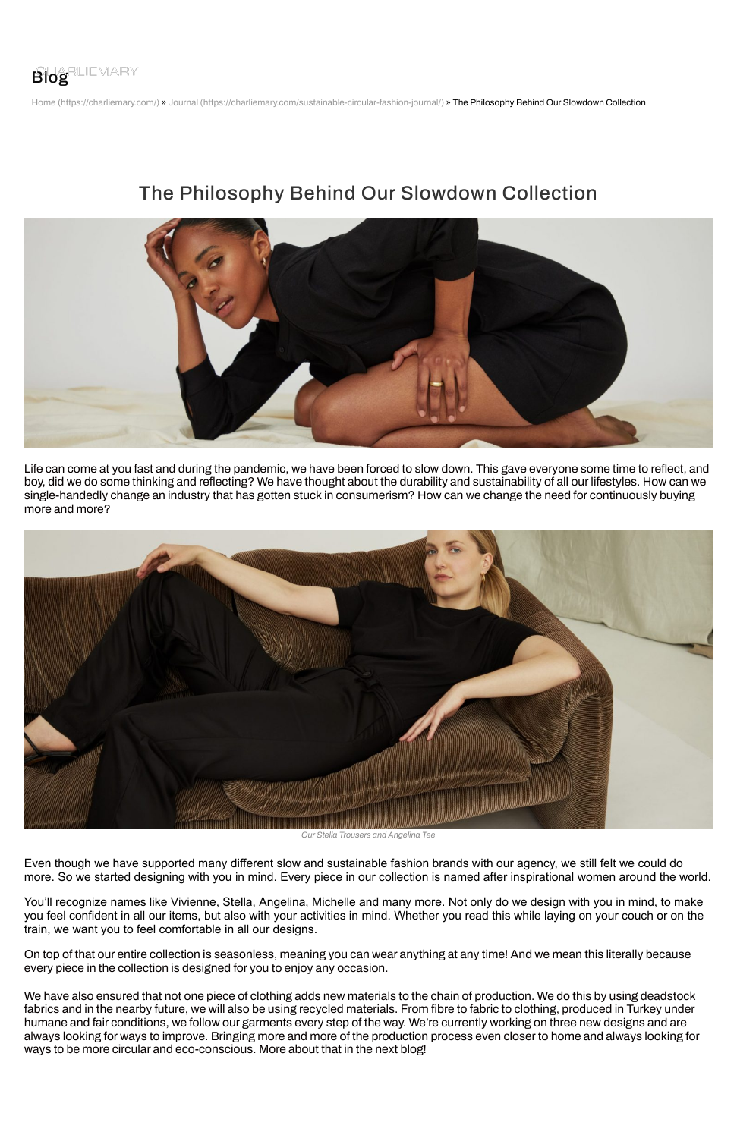

Home (https://charliemary.com/) » Journal (https://charliemary.com/sustainable-circular-fashion-journal/) » The Philosophy Behind Our Slowdown Collection

## The Philosophy Behind Our Slowdown Collection



Life can come at you fast and during the pandemic, we have been forced to slow down. This gave everyone some time to reflect, and boy, did we do some thinking and reflecting? We have thought about the durability and sustainability of all our lifestyles. How can we single-handedly change an industry that has gotten stuck in consumerism? How can we change the need for continuously buying more and more?



*Our Stella Trousers and Angelina Tee*

Even though we have supported many different slow and sustainable fashion brands with our agency, we still felt we could do more. So we started designing with you in mind. Every piece in our collection is named after inspirational women around the world.

You'll recognize names like Vivienne, Stella, Angelina, Michelle and many more. Not only do we design with you in mind, to make you feel confident in all our items, but also with your activities in mind. Whether you read this while laying on your couch or on the train, we want you to feel comfortable in all our designs.

On top of that our entire collection is seasonless, meaning you can wear anything at any time! And we mean this literally because every piece in the collection is designed for you to enjoy any occasion.

We have also ensured that not one piece of clothing adds new materials to the chain of production. We do this by using deadstock fabrics and in the nearby future, we will also be using recycled materials. From fibre to fabric to clothing, produced in Turkey under humane and fair conditions, we follow our garments every step of the way. We're currently working on three new designs and are always looking for ways to improve. Bringing more and more of the production process even closer to home and always looking for ways to be more circular and eco-conscious. More about that in the next blog!